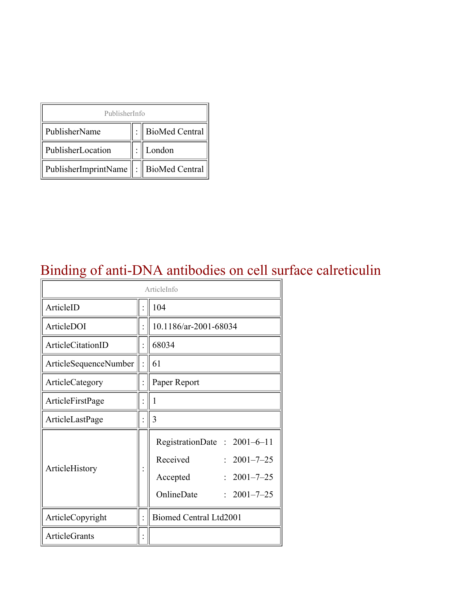| PublisherInfo                         |  |                    |  |  |
|---------------------------------------|--|--------------------|--|--|
| PublisherName                         |  | :   BioMed Central |  |  |
| PublisherLocation                     |  | London             |  |  |
| PublisherImprintName : BioMed Central |  |                    |  |  |

### Binding of anti-DNA antibodies on cell surface calreticulin

| ArticleInfo           |  |                                                                                                                                |  |
|-----------------------|--|--------------------------------------------------------------------------------------------------------------------------------|--|
| ArticleID             |  | 104                                                                                                                            |  |
| ArticleDOI            |  | 10.1186/ar-2001-68034                                                                                                          |  |
| ArticleCitationID     |  | 68034                                                                                                                          |  |
| ArticleSequenceNumber |  | 61                                                                                                                             |  |
| ArticleCategory       |  | Paper Report                                                                                                                   |  |
| ArticleFirstPage      |  | 1                                                                                                                              |  |
| ArticleLastPage       |  | 3                                                                                                                              |  |
| ArticleHistory        |  | RegistrationDate: 2001-6-11<br>Received<br>$: 2001 - 7 - 25$<br>$2001 - 7 - 25$<br>Accepted<br>OnlineDate<br>$: 2001 - 7 - 25$ |  |
| ArticleCopyright      |  | Biomed Central Ltd2001                                                                                                         |  |
| <b>ArticleGrants</b>  |  |                                                                                                                                |  |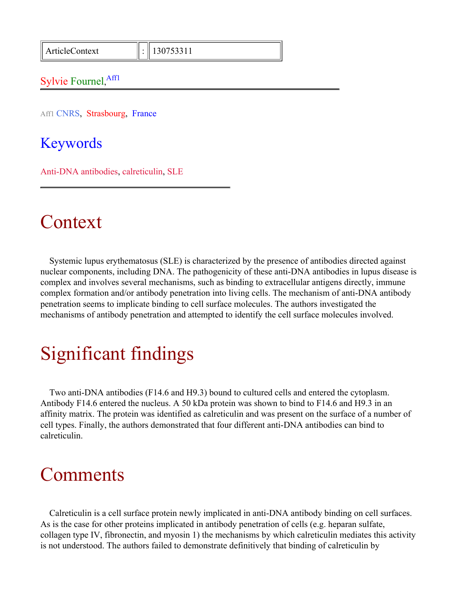ArticleContext : 130753311

#### Sylvie Fournel, Affl

Aff1 CNRS, Strasbourg, France

#### Keywords

Anti-DNA antibodies, calreticulin, SLE

### Context

Systemic lupus erythematosus (SLE) is characterized by the presence of antibodies directed against nuclear components, including DNA. The pathogenicity of these anti-DNA antibodies in lupus disease is complex and involves several mechanisms, such as binding to extracellular antigens directly, immune complex formation and/or antibody penetration into living cells. The mechanism of anti-DNA antibody penetration seems to implicate binding to cell surface molecules. The authors investigated the mechanisms of antibody penetration and attempted to identify the cell surface molecules involved.

## Significant findings

Two anti-DNA antibodies (F14.6 and H9.3) bound to cultured cells and entered the cytoplasm. Antibody F14.6 entered the nucleus. A 50 kDa protein was shown to bind to F14.6 and H9.3 in an affinity matrix. The protein was identified as calreticulin and was present on the surface of a number of cell types. Finally, the authors demonstrated that four different anti-DNA antibodies can bind to calreticulin.

### Comments

Calreticulin is a cell surface protein newly implicated in anti-DNA antibody binding on cell surfaces. As is the case for other proteins implicated in antibody penetration of cells (e.g. heparan sulfate, collagen type IV, fibronectin, and myosin 1) the mechanisms by which calreticulin mediates this activity is not understood. The authors failed to demonstrate definitively that binding of calreticulin by